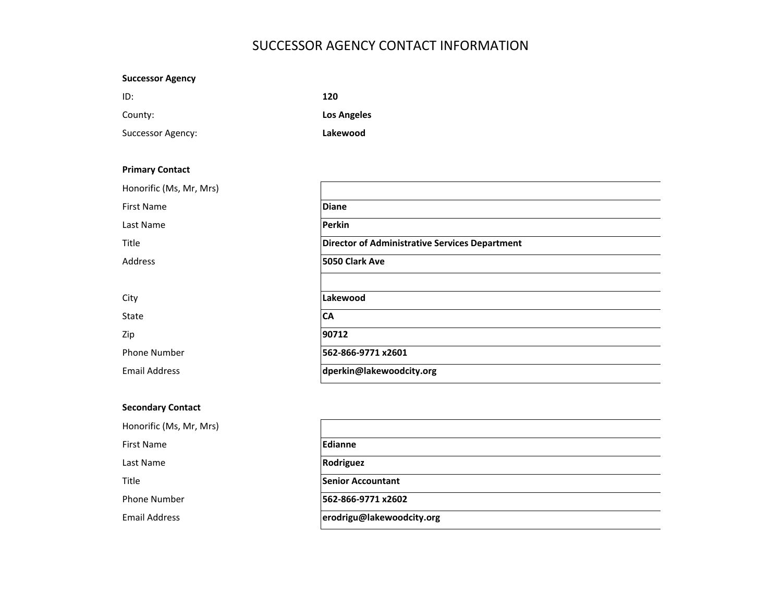# SUCCESSOR AGENCY CONTACT INFORMATION

| <b>Successor Agency</b> |                    |
|-------------------------|--------------------|
| ID:                     | 120                |
| County:                 | <b>Los Angeles</b> |
| Successor Agency:       | Lakewood           |
|                         |                    |

| <b>Primary Contact</b>  |                                                       |
|-------------------------|-------------------------------------------------------|
| Honorific (Ms, Mr, Mrs) |                                                       |
| <b>First Name</b>       | <b>Diane</b>                                          |
| Last Name               | Perkin                                                |
| Title                   | <b>Director of Administrative Services Department</b> |
| Address                 | 5050 Clark Ave                                        |
|                         |                                                       |
| City                    | Lakewood                                              |
| State                   | <b>CA</b>                                             |
| Zip                     | 90712                                                 |
| <b>Phone Number</b>     | 562-866-9771 x2601                                    |
| <b>Email Address</b>    | dperkin@lakewoodcity.org                              |
|                         |                                                       |

# Secondary Contact

| Honorific (Ms, Mr, Mrs) |                           |
|-------------------------|---------------------------|
| First Name              | Edianne                   |
| Last Name               | Rodriguez                 |
| Title                   | <b>Senior Accountant</b>  |
| <b>Phone Number</b>     | 562-866-9771 x2602        |
| <b>Email Address</b>    | erodrigu@lakewoodcity.org |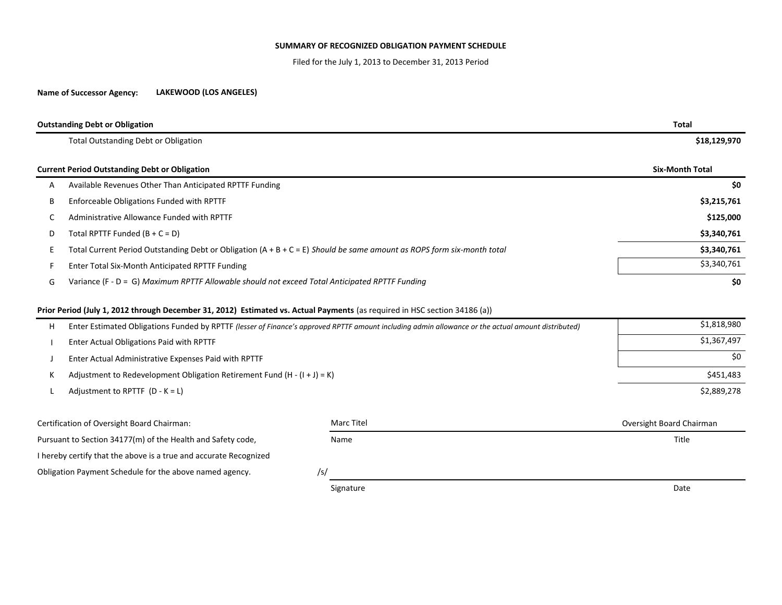#### SUMMARY OF RECOGNIZED OBLIGATION PAYMENT SCHEDULE

Filed for the July 1, 2013 to December 31, 2013 Period

#### Name of Successor Agency:LAKEWOOD (LOS ANGELES)

|   | <b>Outstanding Debt or Obligation</b>                                                                                    | Total                  |
|---|--------------------------------------------------------------------------------------------------------------------------|------------------------|
|   | <b>Total Outstanding Debt or Obligation</b>                                                                              | \$18,129,970           |
|   | <b>Current Period Outstanding Debt or Obligation</b>                                                                     | <b>Six-Month Total</b> |
| A | Available Revenues Other Than Anticipated RPTTF Funding                                                                  | \$0                    |
| B | Enforceable Obligations Funded with RPTTF                                                                                | \$3,215,761            |
|   | Administrative Allowance Funded with RPTTF                                                                               | \$125,000              |
| D | Total RPTTF Funded $(B + C = D)$                                                                                         | \$3,340,761            |
|   | Total Current Period Outstanding Debt or Obligation $(A + B + C = E)$ Should be same amount as ROPS form six-month total | \$3,340,761            |
|   | Enter Total Six-Month Anticipated RPTTF Funding                                                                          | \$3,340,761            |
| G | Variance (F - D = G) Maximum RPTTF Allowable should not exceed Total Anticipated RPTTF Funding                           | \$0                    |

### Prior Period (July 1, 2012 through December 31, 2012) Estimated vs. Actual Payments (as required in HSC section 34186 (a))

| H. | Enter Estimated Obligations Funded by RPTTF (lesser of Finance's approved RPTTF amount including admin allowance or the actual amount distributed) | \$1,818,980 |
|----|----------------------------------------------------------------------------------------------------------------------------------------------------|-------------|
|    | Enter Actual Obligations Paid with RPTTF                                                                                                           | \$1,367,497 |
|    | Enter Actual Administrative Expenses Paid with RPTTF                                                                                               | \$0         |
|    | Adjustment to Redevelopment Obligation Retirement Fund $(H - (I + J) = K)$                                                                         | \$451,483   |
|    | Adjustment to RPTTF $(D - K = L)$                                                                                                                  | \$2,889,278 |
|    |                                                                                                                                                    |             |

Certification of Oversight Board Chairman: Oversight Board ChairmanPursuant to Section 34177(m) of the Health and Safety code, Name Name Title Section 34177(m) of the Health and Safety code, I hereby certify that the above is a true and accurate RecognizedObligation Payment Schedule for the above named agency. /s/ Signaturee distribution of the contract of the contract of the contract of the contract of the Date Marc Titel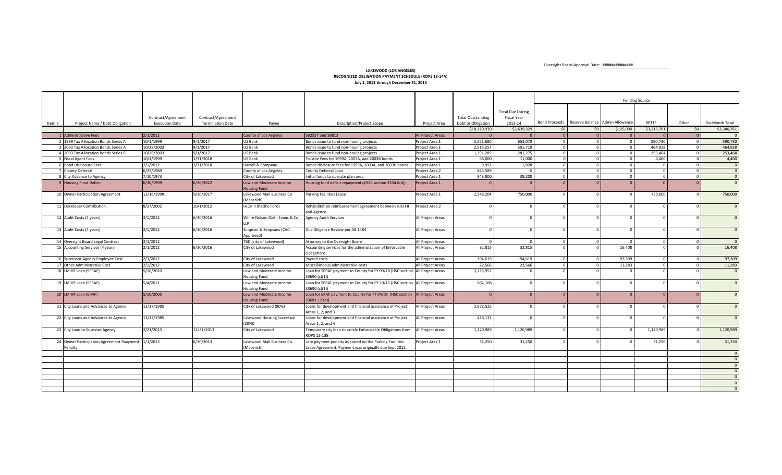Oversight Board Approval Date: ##############

#### LAKEWOOD (LOS ANGELES) RECOGNIZED OBLIGATION PAYMENT SCHEDULE (ROPS 13-14A)July 1, 2013 through December 31, 2013

|       |                                                               |                                             |                                               |                                                |                                                                                                                    |                          |                                                |                                                          | <b>Funding Source</b> |                                               |                |                         |                |                 |
|-------|---------------------------------------------------------------|---------------------------------------------|-----------------------------------------------|------------------------------------------------|--------------------------------------------------------------------------------------------------------------------|--------------------------|------------------------------------------------|----------------------------------------------------------|-----------------------|-----------------------------------------------|----------------|-------------------------|----------------|-----------------|
| Item# | Project Name / Debt Obligation                                | Contract/Agreement<br><b>Execution Date</b> | Contract/Agreement<br><b>Termination Date</b> | Payee                                          | <b>Description/Project Scope</b>                                                                                   | Project Area             | <b>Total Outstanding</b><br>Debt or Obligation | <b>Total Due During</b><br><b>Fiscal Year</b><br>2013-14 |                       | Bond Proceeds Reserve Balance Admin Allowance |                | <b>RPTTF</b>            | Other          | Six-Month Total |
|       |                                                               |                                             |                                               |                                                |                                                                                                                    |                          | \$18,129,970                                   | \$3,639,329                                              | \$0                   | \$0                                           | \$125,000      | \$3,215,761             | \$0            | \$3,340,761     |
|       | 1 Administrative Fees                                         | 2/1/2012                                    |                                               | <b>County of Los Angeles</b>                   | SB2557 and SB813                                                                                                   | <b>All Project Areas</b> |                                                | $\Omega$                                                 | $\Omega$              | $\Omega$                                      |                |                         | $\overline{0}$ | $\overline{0}$  |
|       | 2 1999 Tax Allocation Bonds Series A                          | 10/1/1999                                   | 9/1/2017                                      | <b>US Bank</b>                                 | Bonds issue to fund non-houing projects                                                                            | Project Area 1           | 3,251,880                                      | 653.070                                                  | $\Omega$              |                                               | $\Omega$       | 590.730                 | $\Omega$       | 590,730         |
|       | 3 2003 Tax Allocation Bonds Series A                          | 10/28/2003                                  | 9/1/2017                                      | <b>US Bank</b>                                 | Bonds issue to fund non-houing projects                                                                            | Project Area 1           | 2,515,257                                      | 501,718                                                  | $\Omega$              |                                               | $\Omega$       | 464.928                 | $\Omega$       | 464,928         |
|       | 4 2003 Tax Allocation Bonds Series B                          | 10/28/2003                                  | 9/1/2017                                      | US Bank                                        | Bonds issue to fund non-houing projects                                                                            | Project Area 1           | 1,391,289                                      | 281,275                                                  | $\overline{0}$        |                                               | $\overline{0}$ | 253,464                 | $\Omega$       | 253,464         |
|       | 5 Fiscal Agent Fees                                           | 10/1/1999                                   | 1/31/2018                                     | US Bank                                        | Trustee Fees for 1999A, 2003A, and 2003B bonds                                                                     | Project Area 1           | 55,000                                         | 11,000                                                   | $\overline{0}$        | $\Omega$                                      | $\mathbf 0$    | 4,400                   | $\Omega$       | 4,400           |
|       | 6 Bond Disclosure Fees                                        | 2/1/2012                                    | 1/31/2018                                     | Harrell & Company                              | Bonds disclosure fees for 1999A, 2003A, and 2003B bonds                                                            | Project Area 1           | 9,997                                          | 1,828                                                    | $\circ$               | $\Omega$                                      | $\mathbf 0$    | $\overline{0}$          | $\overline{0}$ | $\overline{0}$  |
|       | 7 County Deferral                                             | 6/27/1989                                   |                                               | County of Los Angeles                          | County Deferral Loan                                                                                               | Project Area 2           | 843,589                                        |                                                          | $\circ$               | $\Omega$                                      | $\overline{0}$ | $\overline{0}$          | $\Omega$       | $\overline{0}$  |
|       | 8 City Advance to Agency                                      | 7/10/1973                                   |                                               | City of Lakewood                               | Initial funds to operate plan area                                                                                 | Project Area 1           | 343,800                                        | 38,200                                                   | $\circ$               | $\overline{0}$                                | $\overline{0}$ | $\overline{\mathbf{0}}$ | $\Omega$       | $\overline{0}$  |
|       | 9 Housing Fund Deficit                                        | 6/30/1999                                   | 6/30/2022                                     | Low and Moderate Income                        | Housing fund deficit repayments (HSC section 3334.6(d))                                                            | Project Area 1           |                                                |                                                          | $\Omega$              | $\Omega$                                      | $\Omega$       |                         | $\Omega$       | $\overline{0}$  |
|       |                                                               |                                             |                                               | <b>Housing Fund</b>                            |                                                                                                                    |                          |                                                |                                                          |                       |                                               |                |                         |                |                 |
|       | 10 Owner Participation Agreement                              | 12/16/1998                                  | 9/30/2017                                     | Lakewood Mall Business Co                      | Parking Facilities Lease                                                                                           | Project Area 1           | 2,348,204                                      | 750,000                                                  | $\Omega$              |                                               | $\Omega$       | 750,000                 | $\Omega$       | 750,000         |
|       |                                                               |                                             |                                               | (Macerich)                                     |                                                                                                                    |                          |                                                |                                                          |                       |                                               |                |                         |                |                 |
|       | 11 Developer Contribution                                     | 8/27/2002                                   | 10/1/2012                                     | HJCH II (Pacific Ford)                         | Rehabilitation reimbursement agreement between HJCH II<br>and Agency                                               | Project Area 2           |                                                |                                                          | $\Omega$              |                                               | $\Omega$       | $\Omega$                | $\Omega$       | $\overline{0}$  |
|       | 12 Audit Costs (4 years)                                      | 2/1/2012                                    | 6/30/2016                                     | Whire Nelson Diehl Evans & Co,                 | <b>Agency Audit Services</b>                                                                                       | All Project Areas        | $\Omega$                                       |                                                          |                       |                                               |                | $\Omega$                |                | $\Omega$        |
|       | 13 Audit Costs (4 years)                                      | 2/1/2012                                    | 6/30/2016                                     | Simpson & Simpsons (CAC-<br>Approved)          | Due Diligence Review per AB 1484                                                                                   | All Project Areas        | $\Omega$                                       |                                                          |                       |                                               |                | $\Omega$                |                | $\Omega$        |
|       | 14 Oversight Board Legal Contract                             | 2/1/2012                                    |                                               | TBD (city of Lakewood)                         | Attorney to the Oversight Board                                                                                    | All Project Areas        |                                                |                                                          | $\circ$               |                                               | $\Omega$       | $\Omega$                | $\Omega$       | $\overline{0}$  |
|       | 15 Accounting Services (4 years)                              | 2/1/2012                                    | 6/30/2016                                     | City of Lakewood                               | Accounting services for the administration of Enforcable<br>Obligations                                            | All Project Areas        | 32,815                                         | 32.815                                                   | $\Omega$              |                                               | 16,408         | $\Omega$                | $\Omega$       | 16,408          |
|       | 16 Successor Agency Employee Cost                             | 2/1/2012                                    |                                               | City of Lakewood                               | Payroll costs                                                                                                      | All Project Areas        | 194,619                                        | 194,619                                                  | $\circ$               | $\overline{0}$                                | 97,309         | $\overline{0}$          | $\mathbf{0}$   | 97,309          |
|       | 17 Other Administrative Cost                                  | 2/1/2012                                    |                                               | City of Lakewood                               | Miscellaneous administrative costs                                                                                 | All Project Areas        | 22,566                                         | 22,566                                                   | $\overline{0}$        | $\Omega$                                      | 11,283         | $\overline{0}$          | $\overline{0}$ | 11,283          |
|       | 18 LMIHF Loan (SERAF)                                         | 5/10/2010                                   |                                               | Low and Moderate Income<br><b>Housing Fund</b> | Loan for SERAF payment to County for FY 09/10 (HSC section All Project Areas<br>33690 $(c)(1)$                     |                          | 3,215,951                                      |                                                          | $\Omega$              |                                               | $\Omega$       | $\Omega$                | $\Omega$       | $\overline{0}$  |
|       | 19 LMIHF Loan (SERAF)                                         | 5/4/2011                                    |                                               | Low and Moderate Income<br><b>Housing Fund</b> | Loan for SERAF payment to County for FY 10/11 (HSC section All Project Areas<br>33690 (c)(1))                      |                          | 662,108                                        |                                                          |                       |                                               |                | $\Omega$                | $\Omega$       | $\Omega$        |
|       | 20 LMIHF Loan (ERAF)                                          | 5/10/2005                                   |                                               | Low and Moderate Income<br><b>Housing Fund</b> | Loan for ERAF payment to County for FY 04/05 (HSC section All Project Areas<br>33681.12(b))                        |                          |                                                | $\Omega$                                                 | $\Omega$              | $\Omega$                                      | $\Omega$       | $\Omega$                | $\Omega$       | $\Omega$        |
|       | 21 City Loans and Advances to Agency                          | 12/17/1985                                  |                                               | City of Lakewood (80%)                         | Loans for development and financial assistance of Project<br>Areas 1, 2, and 3                                     | All Project Areas        | 1,672,525                                      |                                                          | $\Omega$              |                                               |                | $\Omega$                |                | $\Omega$        |
|       | 22 City Loans and Advances to Agency                          | 12/17/1985                                  |                                               | Lakewood Housing Successor<br>(20%0)           | Loans for development and financial assistance of Project<br>Areas 1, 2, and 4                                     | All Project Areas        | 418,131                                        |                                                          |                       |                                               |                |                         |                | $\Omega$        |
|       | 23 City Loan to Sucessor Agency                               | 2/21/2013                                   | 12/31/2013                                    | City of Lakewood                               | Temporary city loan to satisfy Enforceable Obligations from<br><b>ROPS 12-13B</b>                                  | All Project Areas        | 1,120,989                                      | 1,120,989                                                | $\Omega$              |                                               |                | 1,120,989               | $\Omega$       | 1,120,989       |
|       | 24 Owner Participation Agreement Paayment 1/1/2013<br>Penalty |                                             | 6/30/2013                                     | Lakewood Mall Business Co<br>(Macerich)        | Late payment penalty as stated on the Parking Facilities<br>Lease Agreement. Payment was originally due Sept 2012. | Project Area 1           | 31,250                                         | 31,250                                                   | $\Omega$              |                                               |                | 31,250                  |                | 31,250          |
|       |                                                               |                                             |                                               |                                                |                                                                                                                    |                          |                                                |                                                          |                       |                                               |                |                         |                | $\Omega$        |
|       |                                                               |                                             |                                               |                                                |                                                                                                                    |                          |                                                |                                                          |                       |                                               |                |                         |                | $\overline{0}$  |
|       |                                                               |                                             |                                               |                                                |                                                                                                                    |                          |                                                |                                                          |                       |                                               |                |                         |                | $\overline{0}$  |
|       |                                                               |                                             |                                               |                                                |                                                                                                                    |                          |                                                |                                                          |                       |                                               |                |                         |                | $\overline{0}$  |
|       |                                                               |                                             |                                               |                                                |                                                                                                                    |                          |                                                |                                                          |                       |                                               |                |                         |                | $\overline{0}$  |
|       |                                                               |                                             |                                               |                                                |                                                                                                                    |                          |                                                |                                                          |                       |                                               |                |                         |                | $\overline{0}$  |
|       |                                                               |                                             |                                               |                                                |                                                                                                                    |                          |                                                |                                                          |                       |                                               |                |                         |                | $\Omega$        |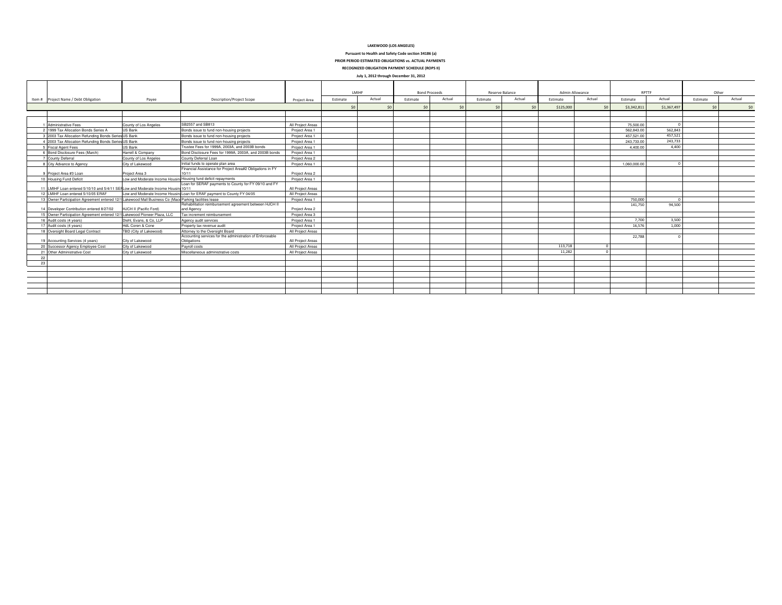#### LAKEWOOD (LOS ANGELES)

Pursuant to Health and Safety Code section 34186 (a)

PRIOR PERIOD ESTIMATED OBLIGATIONS vs. ACTUAL PAYMENTS

RECOGNIZED OBLIGATION PAYMENT SCHEDULE (ROPS II) July 1, 2012 through December 31, 2012

|    | $20.72$ , come through becomposed as even                                                              |                                                                 |                                                                          |                   |          |        |          |        |                      |        |                 |        |                 |             |          |        |       |  |
|----|--------------------------------------------------------------------------------------------------------|-----------------------------------------------------------------|--------------------------------------------------------------------------|-------------------|----------|--------|----------|--------|----------------------|--------|-----------------|--------|-----------------|-------------|----------|--------|-------|--|
|    |                                                                                                        |                                                                 |                                                                          |                   | LMIHF    |        |          |        | <b>Bond Proceeds</b> |        | Reserve Balance |        | Admin Allowance |             | RPTTF    |        | Other |  |
|    | Item # Project Name / Debt Obligation                                                                  | Payee                                                           | <b>Description/Project Scope</b>                                         | Project Area      | Estimate | Actual | Estimate | Actual | Estimate             | Actual | Estimate        | Actual | Estimate        | Actual      | Estimate | Actual |       |  |
|    |                                                                                                        |                                                                 |                                                                          |                   |          | ¢n     | 50       |        | 50                   | 50     | \$125,000       | 50     | \$3,342,811     | \$1,367,497 | 50       |        |       |  |
|    |                                                                                                        |                                                                 |                                                                          |                   |          |        |          |        |                      |        |                 |        |                 |             |          |        |       |  |
|    |                                                                                                        |                                                                 |                                                                          |                   |          |        |          |        |                      |        |                 |        |                 |             |          |        |       |  |
|    | 1 Administrative Fees                                                                                  | County of Los Angeles                                           | SB2557 and SB813                                                         | All Project Areas |          |        |          |        |                      |        |                 |        | 75,500.00       |             |          |        |       |  |
|    | 2 1999 Tax Allocation Bonds Series A                                                                   | <b>US Bank</b>                                                  | Bonds issue to fund non-housing projects                                 | Project Area 1    |          |        |          |        |                      |        |                 |        | 562 843 00      | 562.843     |          |        |       |  |
|    | 3 2003 Tax Allocation Refunding Bonds Series US Bank                                                   |                                                                 | Bonds issue to fund non-housing projects                                 | Project Area 1    |          |        |          |        |                      |        |                 |        | 457.521.00      | 457.521     |          |        |       |  |
|    | 4 2003 Tax Allocation Refunding Bonds Series US Bank                                                   |                                                                 | Bonds issue to fund non-housing projects                                 | Project Area 1    |          |        |          |        |                      |        |                 |        | 243,733.00      | 243.733     |          |        |       |  |
|    | 5 Fiscal Agent Fees                                                                                    | <b>US Bank</b>                                                  | Trustee Fees for 1999A, 2003A, and 2003B bonds                           | Project Area 1    |          |        |          |        |                      |        |                 |        | 4.400.00        | 4.400       |          |        |       |  |
|    | 6 Bond Disclosure Fees (March)                                                                         | Harrell & Company                                               | Bond Disclosure Fees for 1999A, 2003A, and 2003B bonds                   | Project Area 1    |          |        |          |        |                      |        |                 |        |                 |             |          |        |       |  |
|    | <b>County Deferral</b>                                                                                 | County of Los Angeles                                           | County Deferral Loan                                                     | Project Area 2    |          |        |          |        |                      |        |                 |        |                 |             |          |        |       |  |
|    | 8 City Advance to Agency                                                                               | City of Lakewood                                                | Initial funds to operate plan area                                       | Project Area 1    |          |        |          |        |                      |        |                 |        | 1.060.000.00    |             |          |        |       |  |
|    |                                                                                                        |                                                                 | Financial Assistance for Project Area#2 Obligations in FY                |                   |          |        |          |        |                      |        |                 |        |                 |             |          |        |       |  |
|    | 9 Project Area #3 Loan                                                                                 | Project Area 3                                                  | 10/11                                                                    | Project Area 2    |          |        |          |        |                      |        |                 |        |                 |             |          |        |       |  |
|    | 10 Housing Fund Deficit                                                                                | Low and Moderate Income Housing Housing fund deficit repayments | Loan for SERAF payments to County for FY 09/10 and FY                    | Project Area 1    |          |        |          |        |                      |        |                 |        |                 |             |          |        |       |  |
|    | 11 LMIHF Loan entered 5/10/10 and 5/4/11 SEI Low and Moderate Income Housin 10/11                      |                                                                 |                                                                          | All Project Areas |          |        |          |        |                      |        |                 |        |                 |             |          |        |       |  |
|    | 12   MIHE Loan entered 5/10/05 FRAF                                                                    | Low and Moderate Income Hous                                    | in Loan for ERAF payment to County FY 04/05                              | All Project Areas |          |        |          |        |                      |        |                 |        |                 |             |          |        |       |  |
|    | 13 Owner Participation Agreement entered 12/1 Lakewood Mall Business Co (Mace Parking facilities lease |                                                                 |                                                                          | Project Area 1    |          |        |          |        |                      |        |                 |        | 750,000         |             |          |        |       |  |
|    |                                                                                                        |                                                                 | Rehabilitation reimbursement agreement between HJCH II                   |                   |          |        |          |        |                      |        |                 |        | 141,750         | 94.500      |          |        |       |  |
|    | 14 Developer Contribution entered 8/27/02                                                              | HJCH II (Pacific Ford)                                          | and Agency                                                               | Project Area 2    |          |        |          |        |                      |        |                 |        |                 |             |          |        |       |  |
|    | 15 Owner Participation Agreement entered 12/1 Lakewood Pioneer Plaza, LLC                              |                                                                 | Tax increment reimbursement                                              | Project Area 3    |          |        |          |        |                      |        |                 |        |                 |             |          |        |       |  |
|    | 16 Audit costs (4 years)                                                                               | Diehl, Evans, & Co. LLP                                         | Agency audit services                                                    | Project Area 1    |          |        |          |        |                      |        |                 |        | 7.700           | 3.500       |          |        |       |  |
|    | 17 Audit costs (4 years)                                                                               | HdL Coren & Cone                                                | Property tax revenue audit                                               | Project Area 1    |          |        |          |        |                      |        |                 |        | 16,576          | 1.000       |          |        |       |  |
|    | 18 Oversight Board Legal Contract                                                                      | TBD (City of Lakewood)                                          | Attorney to the Oversight Board                                          | All Project Areas |          |        |          |        |                      |        |                 |        |                 |             |          |        |       |  |
|    | 19 Accounting Services (4 years)                                                                       | City of Lakewood                                                | Accounting services for the administration of Enforceable<br>Obligations | All Project Areas |          |        |          |        |                      |        |                 |        | 22,788          |             |          |        |       |  |
|    | 20 Successor Agency Employee Cost                                                                      | City of Lakewood                                                | Payroll costs                                                            | All Project Areas |          |        |          |        |                      |        | 113,718         |        |                 |             |          |        |       |  |
|    | 21 Other Administrative Cost                                                                           | City of Lakewood                                                | Miscellaneous administrative costs                                       | All Project Areas |          |        |          |        |                      |        | 11.282          |        |                 |             |          |        |       |  |
| 22 |                                                                                                        |                                                                 |                                                                          |                   |          |        |          |        |                      |        |                 |        |                 |             |          |        |       |  |
| 23 |                                                                                                        |                                                                 |                                                                          |                   |          |        |          |        |                      |        |                 |        |                 |             |          |        |       |  |
|    |                                                                                                        |                                                                 |                                                                          |                   |          |        |          |        |                      |        |                 |        |                 |             |          |        |       |  |
|    |                                                                                                        |                                                                 |                                                                          |                   |          |        |          |        |                      |        |                 |        |                 |             |          |        |       |  |
|    |                                                                                                        |                                                                 |                                                                          |                   |          |        |          |        |                      |        |                 |        |                 |             |          |        |       |  |
|    |                                                                                                        |                                                                 |                                                                          |                   |          |        |          |        |                      |        |                 |        |                 |             |          |        |       |  |
|    |                                                                                                        |                                                                 |                                                                          |                   |          |        |          |        |                      |        |                 |        |                 |             |          |        |       |  |